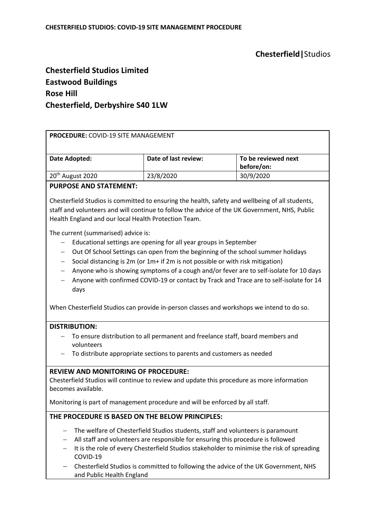# **Chesterfield|**Studios

## **Chesterfield Studios Limited Eastwood Buildings Rose Hill Chesterfield, Derbyshire S40 1LW**

| PROCEDURE: COVID-19 SITE MANAGEMENT                                                                                                                                                                                                                                                                                                                                                                                                                                                                                                                                      |                      |                                   |
|--------------------------------------------------------------------------------------------------------------------------------------------------------------------------------------------------------------------------------------------------------------------------------------------------------------------------------------------------------------------------------------------------------------------------------------------------------------------------------------------------------------------------------------------------------------------------|----------------------|-----------------------------------|
| Date Adopted:                                                                                                                                                                                                                                                                                                                                                                                                                                                                                                                                                            | Date of last review: | To be reviewed next<br>before/on: |
| 20 <sup>th</sup> August 2020                                                                                                                                                                                                                                                                                                                                                                                                                                                                                                                                             | 23/8/2020            | 30/9/2020                         |
| <b>PURPOSE AND STATEMENT:</b>                                                                                                                                                                                                                                                                                                                                                                                                                                                                                                                                            |                      |                                   |
| Chesterfield Studios is committed to ensuring the health, safety and wellbeing of all students,<br>staff and volunteers and will continue to follow the advice of the UK Government, NHS, Public<br>Health England and our local Health Protection Team.                                                                                                                                                                                                                                                                                                                 |                      |                                   |
| The current (summarised) advice is:<br>Educational settings are opening for all year groups in September<br>Out Of School Settings can open from the beginning of the school summer holidays<br>Social distancing is 2m (or 1m+ if 2m is not possible or with risk mitigation)<br>Anyone who is showing symptoms of a cough and/or fever are to self-isolate for 10 days<br>Anyone with confirmed COVID-19 or contact by Track and Trace are to self-isolate for 14<br>days<br>When Chesterfield Studios can provide in-person classes and workshops we intend to do so. |                      |                                   |
| <b>DISTRIBUTION:</b><br>To ensure distribution to all permanent and freelance staff, board members and<br>volunteers<br>To distribute appropriate sections to parents and customers as needed                                                                                                                                                                                                                                                                                                                                                                            |                      |                                   |
| <b>REVIEW AND MONITORING OF PROCEDURE:</b><br>Chesterfield Studios will continue to review and update this procedure as more information<br>becomes available.<br>Monitoring is part of management procedure and will be enforced by all staff.                                                                                                                                                                                                                                                                                                                          |                      |                                   |
| THE PROCEDURE IS BASED ON THE BELOW PRINCIPLES:                                                                                                                                                                                                                                                                                                                                                                                                                                                                                                                          |                      |                                   |
| The welfare of Chesterfield Studios students, staff and volunteers is paramount<br>All staff and volunteers are responsible for ensuring this procedure is followed<br>It is the role of every Chesterfield Studios stakeholder to minimise the risk of spreading<br>—<br>COVID-19<br>Chesterfield Studios is committed to following the advice of the UK Government, NHS<br>and Public Health England                                                                                                                                                                   |                      |                                   |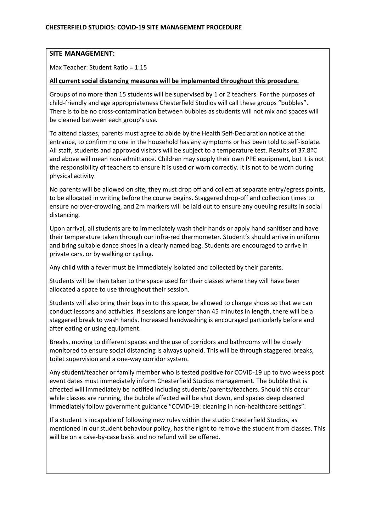## **SITE MANAGEMENT:**

Max Teacher: Student Ratio = 1:15

#### **All current social distancing measures will be implemented throughout this procedure.**

Groups of no more than 15 students will be supervised by 1 or 2 teachers. For the purposes of child-friendly and age appropriateness Chesterfield Studios will call these groups "bubbles". There is to be no cross-contamination between bubbles as students will not mix and spaces will be cleaned between each group's use.

To attend classes, parents must agree to abide by the Health Self-Declaration notice at the entrance, to confirm no one in the household has any symptoms or has been told to self-isolate. All staff, students and approved visitors will be subject to a temperature test. Results of 37.8ºC and above will mean non-admittance. Children may supply their own PPE equipment, but it is not the responsibility of teachers to ensure it is used or worn correctly. It is not to be worn during physical activity.

No parents will be allowed on site, they must drop off and collect at separate entry/egress points, to be allocated in writing before the course begins. Staggered drop-off and collection times to ensure no over-crowding, and 2m markers will be laid out to ensure any queuing results in social distancing.

Upon arrival, all students are to immediately wash their hands or apply hand sanitiser and have their temperature taken through our infra-red thermometer. Student's should arrive in uniform and bring suitable dance shoes in a clearly named bag. Students are encouraged to arrive in private cars, or by walking or cycling.

Any child with a fever must be immediately isolated and collected by their parents.

Students will be then taken to the space used for their classes where they will have been allocated a space to use throughout their session.

Students will also bring their bags in to this space, be allowed to change shoes so that we can conduct lessons and activities. If sessions are longer than 45 minutes in length, there will be a staggered break to wash hands. Increased handwashing is encouraged particularly before and after eating or using equipment.

Breaks, moving to different spaces and the use of corridors and bathrooms will be closely monitored to ensure social distancing is always upheld. This will be through staggered breaks, toilet supervision and a one-way corridor system.

Any student/teacher or family member who is tested positive for COVID-19 up to two weeks post event dates must immediately inform Chesterfield Studios management. The bubble that is affected will immediately be notified including students/parents/teachers. Should this occur while classes are running, the bubble affected will be shut down, and spaces deep cleaned immediately follow government guidance "COVID-19: cleaning in non-healthcare settings".

If a student is incapable of following new rules within the studio Chesterfield Studios, as mentioned in our student behaviour policy, has the right to remove the student from classes. This will be on a case-by-case basis and no refund will be offered.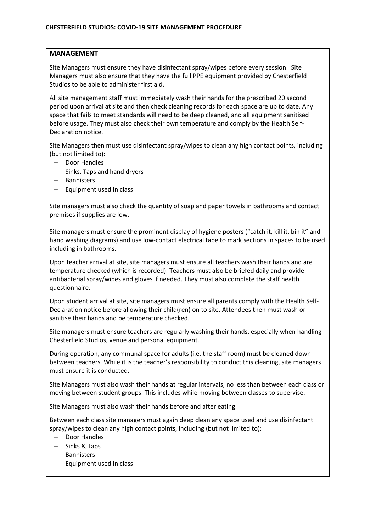## **MANAGEMENT**

Site Managers must ensure they have disinfectant spray/wipes before every session. Site Managers must also ensure that they have the full PPE equipment provided by Chesterfield Studios to be able to administer first aid.

All site management staff must immediately wash their hands for the prescribed 20 second period upon arrival at site and then check cleaning records for each space are up to date. Any space that fails to meet standards will need to be deep cleaned, and all equipment sanitised before usage. They must also check their own temperature and comply by the Health Self-Declaration notice.

Site Managers then must use disinfectant spray/wipes to clean any high contact points, including (but not limited to):

- Door Handles
- Sinks, Taps and hand dryers
- Bannisters
- Equipment used in class

Site managers must also check the quantity of soap and paper towels in bathrooms and contact premises if supplies are low.

Site managers must ensure the prominent display of hygiene posters ("catch it, kill it, bin it" and hand washing diagrams) and use low-contact electrical tape to mark sections in spaces to be used including in bathrooms.

Upon teacher arrival at site, site managers must ensure all teachers wash their hands and are temperature checked (which is recorded). Teachers must also be briefed daily and provide antibacterial spray/wipes and gloves if needed. They must also complete the staff health questionnaire.

Upon student arrival at site, site managers must ensure all parents comply with the Health Self-Declaration notice before allowing their child(ren) on to site. Attendees then must wash or sanitise their hands and be temperature checked.

Site managers must ensure teachers are regularly washing their hands, especially when handling Chesterfield Studios, venue and personal equipment.

During operation, any communal space for adults (i.e. the staff room) must be cleaned down between teachers. While it is the teacher's responsibility to conduct this cleaning, site managers must ensure it is conducted.

Site Managers must also wash their hands at regular intervals, no less than between each class or moving between student groups. This includes while moving between classes to supervise.

Site Managers must also wash their hands before and after eating.

Between each class site managers must again deep clean any space used and use disinfectant spray/wipes to clean any high contact points, including (but not limited to):

- Door Handles
- Sinks & Taps
- Bannisters
- Equipment used in class